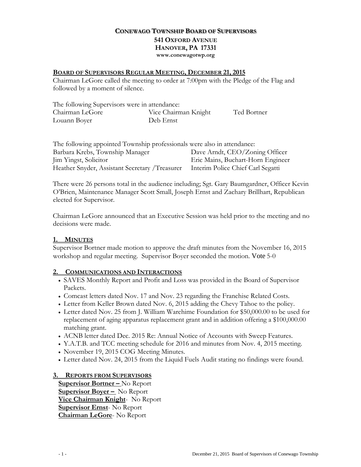## **CONEWAGO TOWNSHIP BOARD OF SUPERVISORS 541 OXFORD AVENUE HANOVER, PA 17331 www.conewagotwp.org**

#### **BOARD OF SUPERVISORS REGULAR MEETING, DECEMBER 21, 2015**

Chairman LeGore called the meeting to order at 7:00pm with the Pledge of the Flag and followed by a moment of silence.

| The following Supervisors were in attendance: |                      |             |
|-----------------------------------------------|----------------------|-------------|
| Chairman LeGore                               | Vice Chairman Knight | Ted Bortner |
| Louann Boyer                                  | Deb Ernst            |             |

| The following appointed Township professionals were also in attendance: |                                   |
|-------------------------------------------------------------------------|-----------------------------------|
| Barbara Krebs, Township Manager                                         | Dave Arndt, CEO/Zoning Officer    |
| Jim Yingst, Solicitor                                                   | Eric Mains, Buchart-Horn Engineer |
| Heather Snyder, Assistant Secretary /Treasurer                          | Interim Police Chief Carl Segatti |

There were 26 persons total in the audience including; Sgt. Gary Baumgardner, Officer Kevin O'Brien, Maintenance Manager Scott Small, Joseph Ernst and Zachary Brillhart, Republican elected for Supervisor.

Chairman LeGore announced that an Executive Session was held prior to the meeting and no decisions were made.

### **1. MINUTES**

Supervisor Bortner made motion to approve the draft minutes from the November 16, 2015 workshop and regular meeting. Supervisor Boyer seconded the motion. Vote 5-0

### **2. COMMUNICATIONS AND INTERACTIONS**

- SAVES Monthly Report and Profit and Loss was provided in the Board of Supervisor Packets.
- Comcast letters dated Nov. 17 and Nov. 23 regarding the Franchise Related Costs.
- Letter from Keller Brown dated Nov. 6, 2015 adding the Chevy Tahoe to the policy.
- Letter dated Nov. 25 from J. William Warehime Foundation for \$50,000.00 to be used for replacement of aging apparatus replacement grant and in addition offering a \$100,000.00 matching grant.
- ACNB letter dated Dec. 2015 Re: Annual Notice of Accounts with Sweep Features.
- Y.A.T.B. and TCC meeting schedule for 2016 and minutes from Nov. 4, 2015 meeting.
- November 19, 2015 COG Meeting Minutes.
- Letter dated Nov. 24, 2015 from the Liquid Fuels Audit stating no findings were found.

#### **3. REPORTS FROM SUPERVISORS**

**Supervisor Bortner –** No Report **Supervisor Boyer –** No Report **Vice Chairman Knight**- No Report **Supervisor Ernst**- No Report **Chairman LeGore**- No Report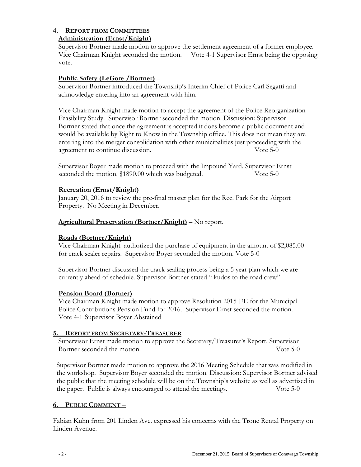# **4. REPORT FROM COMMITTEES**

## **Administration (Ernst/Knight)**

 Supervisor Bortner made motion to approve the settlement agreement of a former employee. Vice Chairman Knight seconded the motion. Vote 4-1 Supervisor Ernst being the opposing vote.

# **Public Safety (LeGore /Bortner)** –

Supervisor Bortner introduced the Township's Interim Chief of Police Carl Segatti and acknowledge entering into an agreement with him.

 Vice Chairman Knight made motion to accept the agreement of the Police Reorganization Feasibility Study. Supervisor Bortner seconded the motion. Discussion: Supervisor Bortner stated that once the agreement is accepted it does become a public document and would be available by Right to Know in the Township office. This does not mean they are entering into the merger consolidation with other municipalities just proceeding with the agreement to continue discussion. Vote 5-0

Supervisor Boyer made motion to proceed with the Impound Yard. Supervisor Ernst seconded the motion. \$1890.00 which was budgeted. Vote 5-0

## **Recreation (Ernst/Knight)**

 January 20, 2016 to review the pre-final master plan for the Rec. Park for the Airport Property. No Meeting in December.

## **Agricultural Preservation (Bortner/Knight)** – No report.

# **Roads (Bortner/Knight)**

 Vice Chairman Knight authorized the purchase of equipment in the amount of \$2,085.00 for crack sealer repairs. Supervisor Boyer seconded the motion. Vote 5-0

 Supervisor Bortner discussed the crack sealing process being a 5 year plan which we are currently ahead of schedule. Supervisor Bortner stated " kudos to the road crew".

### **Pension Board (Bortner)**

 Vice Chairman Knight made motion to approve Resolution 2015-EE for the Municipal Police Contributions Pension Fund for 2016. Supervisor Ernst seconded the motion. Vote 4-1 Supervisor Boyer Abstained

### **5. REPORT FROM SECRETARY-TREASURER**

Supervisor Ernst made motion to approve the Secretary/Treasurer's Report. Supervisor Bortner seconded the motion. The motion of the second state is seen to the second state in the second state is  $\sim$  Note 5-0.

 Supervisor Bortner made motion to approve the 2016 Meeting Schedule that was modified in the workshop. Supervisor Boyer seconded the motion. Discussion: Supervisor Bortner advised the public that the meeting schedule will be on the Township's website as well as advertised in the paper. Public is always encouraged to attend the meetings. Vote 5-0

# **6. PUBLIC COMMENT –**

Fabian Kuhn from 201 Linden Ave. expressed his concerns with the Trone Rental Property on Linden Avenue.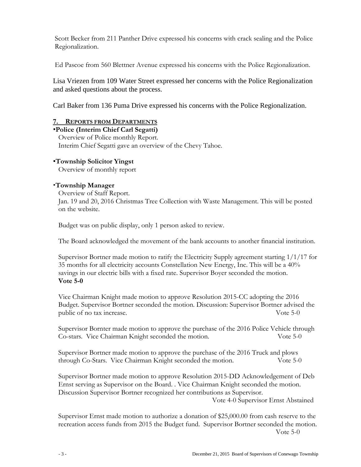Scott Becker from 211 Panther Drive expressed his concerns with crack sealing and the Police Regionalization.

Ed Pascoe from 560 Blettner Avenue expressed his concerns with the Police Regionalization.

Lisa Vriezen from 109 Water Street expressed her concerns with the Police Regionalization and asked questions about the process.

Carl Baker from 136 Puma Drive expressed his concerns with the Police Regionalization.

## **7. REPORTS FROM DEPARTMENTS**

**Police (Interim Chief Carl Segatti)** Overview of Police monthly Report. Interim Chief Segatti gave an overview of the Chevy Tahoe.

## **Township Solicitor Yingst**

Overview of monthly report

### **Township Manager**

Overview of Staff Report. Jan. 19 and 20, 2016 Christmas Tree Collection with Waste Management. This will be posted on the website.

Budget was on public display, only 1 person asked to review.

The Board acknowledged the movement of the bank accounts to another financial institution.

Supervisor Bortner made motion to ratify the Electricity Supply agreement starting 1/1/17 for 35 months for all electricity accounts Constellation New Energy, Inc. This will be a 40% savings in our electric bills with a fixed rate. Supervisor Boyer seconded the motion.  **Vote 5-0**

Vice Chairman Knight made motion to approve Resolution 2015-CC adopting the 2016 Budget. Supervisor Bortner seconded the motion. Discussion: Supervisor Bortner advised the public of no tax increase. Vote 5-0

Supervisor Bornter made motion to approve the purchase of the 2016 Police Vehicle through Co-stars. Vice Chairman Knight seconded the motion. Vote 5-0

Supervisor Bortner made motion to approve the purchase of the 2016 Truck and plows through Co-Stars. Vice Chairman Knight seconded the motion. Vote 5-0

Supervisor Bortner made motion to approve Resolution 2015-DD Acknowledgement of Deb Ernst serving as Supervisor on the Board. . Vice Chairman Knight seconded the motion. Discussion Supervisor Bortner recognized her contributions as Supervisor.

Vote 4-0 Supervisor Ernst Abstained

Supervisor Ernst made motion to authorize a donation of \$25,000.00 from cash reserve to the recreation access funds from 2015 the Budget fund. Supervisor Bortner seconded the motion. Vote 5-0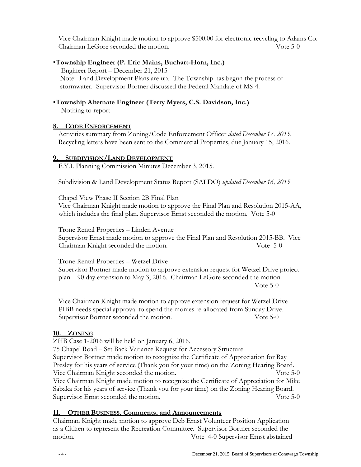Vice Chairman Knight made motion to approve \$500.00 for electronic recycling to Adams Co. Chairman LeGore seconded the motion. Vote 5-0

## **Township Engineer (P. Eric Mains, Buchart-Horn, Inc.)**

Engineer Report – December 21, 2015 Note: Land Development Plans are up. The Township has begun the process of stormwater. Supervisor Bortner discussed the Federal Mandate of MS-4.

## **Township Alternate Engineer (Terry Myers, C.S. Davidson, Inc.)**

Nothing to report

### **8. CODE ENFORCEMENT**

Activities summary from Zoning/Code Enforcement Officer *dated December 17, 2015*. Recycling letters have been sent to the Commercial Properties, due January 15, 2016.

### **9. SUBDIVISION/LAND DEVELOPMENT**

F.Y.I. Planning Commission Minutes December 3, 2015.

Subdivision & Land Development Status Report (SALDO) *updated December 16, 2015*

Chapel View Phase II Section 2B Final Plan Vice Chairman Knight made motion to approve the Final Plan and Resolution 2015-AA, which includes the final plan. Supervisor Ernst seconded the motion. Vote 5-0

 Trone Rental Properties – Linden Avenue Supervisor Ernst made motion to approve the Final Plan and Resolution 2015-BB. Vice Chairman Knight seconded the motion. Vote 5-0

 Trone Rental Properties – Wetzel Drive Supervisor Bortner made motion to approve extension request for Wetzel Drive project plan – 90 day extension to May 3, 2016. Chairman LeGore seconded the motion. Vote 5-0

 Vice Chairman Knight made motion to approve extension request for Wetzel Drive – PIBB needs special approval to spend the monies re-allocated from Sunday Drive. Supervisor Bortner seconded the motion. Vote 5-0

### **10. ZONING**

ZHB Case 1-2016 will be held on January 6, 2016.

75 Chapel Road – Set Back Variance Request for Accessory Structure Supervisor Bortner made motion to recognize the Certificate of Appreciation for Ray Presley for his years of service (Thank you for your time) on the Zoning Hearing Board. Vice Chairman Knight seconded the motion. Vote 5-0 Vice Chairman Knight made motion to recognize the Certificate of Appreciation for Mike Sabaka for his years of service (Thank you for your time) on the Zoning Hearing Board. Supervisor Ernst seconded the motion. Vote 5-0

### **11. OTHER BUSINESS, Comments, and Announcements**

 Chairman Knight made motion to approve Deb Ernst Volunteer Position Application as a Citizen to represent the Recreation Committee. Supervisor Bortner seconded the motion. Vote 4-0 Supervisor Ernst abstained